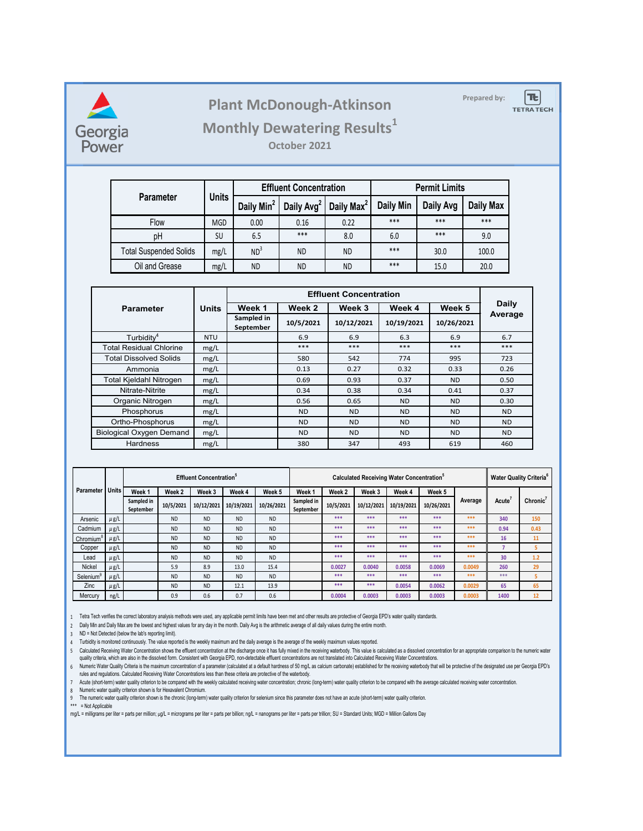

## **Prepared by: Plant McDonough-Atkinson**

 $|\mathbf{t}|$ 

**TETRA TECH** 

## **Monthly Dewatering Results<sup>1</sup>**

**October 2021**

|                               |              |                        | <b>Effluent Concentration</b> |                        | <b>Permit Limits</b> |           |           |  |
|-------------------------------|--------------|------------------------|-------------------------------|------------------------|----------------------|-----------|-----------|--|
| <b>Parameter</b>              | <b>Units</b> | Daily Min <sup>2</sup> | Daily Avg <sup>2</sup>        | Daily Max <sup>2</sup> | <b>Daily Min</b>     | Daily Avg | Daily Max |  |
| Flow                          | <b>MGD</b>   | 0.00                   | 0.16                          | 0.22                   | ***                  | ***       | ***       |  |
| pH                            | SU           | 6.5                    | $***$                         | 8.0                    | 6.0                  | $***$     | 9.0       |  |
| <b>Total Suspended Solids</b> | mg/L         | ND <sup>3</sup>        | ND.                           | ND.                    | ***                  | 30.0      | 100.0     |  |
| Oil and Grease                | mg/L         | <b>ND</b>              | <b>ND</b>                     | ND                     | ***                  | 15.0      | 20.0      |  |

| <b>Parameter</b>                | <b>Units</b> | Week 1                  | Week 2         | Week 3     | Week 4     | Week 5     | <b>Daily</b> |
|---------------------------------|--------------|-------------------------|----------------|------------|------------|------------|--------------|
|                                 |              | Sampled in<br>September | 10/5/2021      | 10/12/2021 | 10/19/2021 | 10/26/2021 | Average      |
| Turbidity <sup>4</sup>          | <b>NTU</b>   |                         | 6.9            | 6.9        | 6.3        | 6.9        | 6.7          |
| <b>Total Residual Chlorine</b>  | mg/L         |                         | $***$          | $***$      | $***$      | $***$      | ***          |
| Total Dissolved Solids          | mg/L         |                         | 580            | 542        | 774        | 995        | 723          |
| Ammonia                         | mg/L         |                         | 0.13           | 0.27       | 0.32       | 0.33       | 0.26         |
| Total Kjeldahl Nitrogen         | mg/L         |                         | 0.69           | 0.93       | 0.37       | <b>ND</b>  | 0.50         |
| Nitrate-Nitrite                 | mg/L         |                         | 0.34           | 0.38       | 0.34       | 0.41       | 0.37         |
| Organic Nitrogen                | mg/L         |                         | 0.56           | 0.65       | ND.        | <b>ND</b>  | 0.30         |
| Phosphorus                      | mg/L         |                         | ND.            | <b>ND</b>  | ND.        | <b>ND</b>  | <b>ND</b>    |
| Ortho-Phosphorus                | mg/L         |                         | N <sub>D</sub> | ND.        | ND.        | <b>ND</b>  | <b>ND</b>    |
| <b>Biological Oxygen Demand</b> | mg/L         |                         | N <sub>D</sub> | <b>ND</b>  | ND.        | <b>ND</b>  | <b>ND</b>    |
| <b>Hardness</b>                 | mg/L         |                         | 380            | 347        | 493        | 619        | 460          |

|                       |              | <b>Effluent Concentration</b> <sup>5</sup> |           |            |            |            |                         | Calculated Receiving Water Concentration <sup>5</sup> |            |            |            |         |                    | <b>Water Quality Criteria<sup>6</sup></b> |  |
|-----------------------|--------------|--------------------------------------------|-----------|------------|------------|------------|-------------------------|-------------------------------------------------------|------------|------------|------------|---------|--------------------|-------------------------------------------|--|
| <b>Parameter</b>      | <b>Units</b> | Week 1                                     | Week 2    | Week 3     | Week 4     | Week 5     | Week 1                  | Week 2                                                | Week 3     | Week 4     | Week 5     | Average | Acute <sup>®</sup> | Chronic'                                  |  |
|                       |              | Sampled in<br>September                    | 10/5/2021 | 10/12/2021 | 10/19/2021 | 10/26/2021 | Sampled in<br>September | 10/5/2021                                             | 10/12/2021 | 10/19/2021 | 10/26/2021 |         |                    |                                           |  |
| Arsenic               | $\mu$ g/L    |                                            | <b>ND</b> | <b>ND</b>  | <b>ND</b>  | <b>ND</b>  |                         | ***                                                   | ***        | ***        | ***        | ***     | 340                | 150                                       |  |
| Cadmium               | $\mu$ g/L    |                                            | <b>ND</b> | <b>ND</b>  | <b>ND</b>  | <b>ND</b>  |                         | ***                                                   | ***        | ***        | ***        | ***     | 0.94               | 0.43                                      |  |
| Chromium <sup>8</sup> | $\mu$ g/L    |                                            | <b>ND</b> | <b>ND</b>  | <b>ND</b>  | <b>ND</b>  |                         | ***                                                   | ***        | ***        | ***        | ***     | 16                 | 11                                        |  |
| Copper                | $\mu$ g/L    |                                            | <b>ND</b> | <b>ND</b>  | <b>ND</b>  | <b>ND</b>  |                         | ***                                                   | ***        | ***        | ***        | ***     |                    | 5                                         |  |
| Lead                  | $\mu$ g/L    |                                            | <b>ND</b> | <b>ND</b>  | <b>ND</b>  | <b>ND</b>  |                         | ***                                                   | ***        | ***        | ***        | ***     | 30                 | 1.2                                       |  |
| <b>Nickel</b>         | $\mu$ g/L    |                                            | 5.9       | 8.9        | 13.0       | 15.4       |                         | 0.0027                                                | 0.0040     | 0.0058     | 0.0069     | 0.0049  | 260                | 29                                        |  |
| Selenium              | $\mu$ g/L    |                                            | <b>ND</b> | <b>ND</b>  | <b>ND</b>  | <b>ND</b>  |                         | ***                                                   | ***        | ***        | ***        | ***     | ***                |                                           |  |
| Zinc                  | $\mu$ g/L    |                                            | <b>ND</b> | <b>ND</b>  | 12.1       | 13.9       |                         | ***                                                   | ***        | 0.0054     | 0.0062     | 0.0029  | 65                 | 65                                        |  |
| Mercury               | ng/L         |                                            | 0.9       | 0.6        | 0.7        | 0.6        |                         | 0.0004                                                | 0.0003     | 0.0003     | 0.0003     | 0.0003  | 1400               | 12                                        |  |

1 Tetra Tech verifies the correct laboratory analysis methods were used, any applicable permit limits have been met and other results are protective of Georgia EPD's water quality standards.

2 Daily Min and Daily Max are the lowest and highest values for any day in the month. Daily Avg is the arithmetic average of all daily values during the entire month.

3 ND = Not Detected (below the lab's reporting limit).

4 Turbidity is monitored continuously. The value reported is the weekly maximum and the daily average is the average of the weekly maximum values reported.

5 Calculated Receiving Water Concentration shows the effluent concentration at the discnarge once it has fully mixed in the receiving waterbody. This value is calculated as a dissolved concentration for an appropriate comp quality criteria, which are also in the dissolved form. Consistent with Georgia EPD, non-detectable effluent concentrations are not translated into Calculated Receiving Water Concentrations.

6 Numeric water Quality Criteria is the maximum concentration of a parameter (calculated at a default nardness of 50 mg/L as calcium carbonate) established for the receiving waterbody that will be protective of the designate rules and regulations. Calculated Receiving Water Concentrations less than these criteria are protective of the waterbody.

7 Acute (short-term) water quality criterion to be compared with the weekly calculated recelving water concentration; chronic (long-term) water quality criterion to be compared with the average calculated receiving water c

8 Numeric water quality criterion shown is for Hexavalent Chromium.

9 The numeric water quality criterion shown is the chronic (long-term) water quality criterion for selenium since this parameter does not have an acute (short-term) water quality criterion.

\*\*\* = Not Applicable

mg/L = milligrams per liter = parts per million; µg/L = micrograms per liter = parts per billion; ng/L = nanograms per liter = parts per trillion; SU = Standard Units; MGD = Million Gallons Day